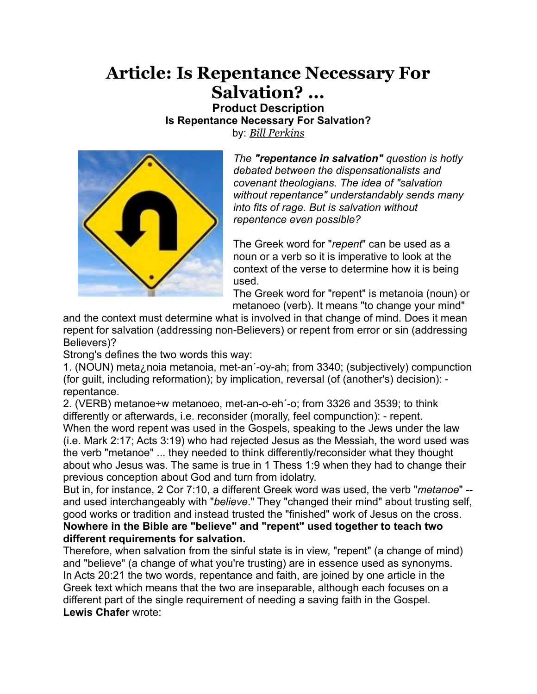## **Article: Is Repentance Necessary For Salvation? ...**

**Product Description Is Repentance Necessary For Salvation?** by: *[Bill Perkins](http://compass.org/store/categories/Steeling-The-Mind-Speakers/Bill-Perkins/)*



*The "repentance in salvation" question is hotly debated between the dispensationalists and covenant theologians. The idea of "salvation without repentance" understandably sends many into fits of rage. But is salvation without repentence even possible?*

The Greek word for "*repent*" can be used as a noun or a verb so it is imperative to look at the context of the verse to determine how it is being used.

The Greek word for "repent" is metanoia (noun) or metanoeo (verb). It means "to change your mind"

and the context must determine what is involved in that change of mind. Does it mean repent for salvation (addressing non-Believers) or repent from error or sin (addressing Believers)?

Strong's defines the two words this way:

1. (NOUN) meta¿noia metanoia, met-an´-oy-ah; from 3340; (subjectively) compunction (for guilt, including reformation); by implication, reversal (of (another's) decision): repentance.

2. (VERB) metanoe÷w metanoeo, met-an-o-eh´-o; from 3326 and 3539; to think differently or afterwards, i.e. reconsider (morally, feel compunction): - repent. When the word repent was used in the Gospels, speaking to the Jews under the law (i.e. Mark 2:17; Acts 3:19) who had rejected Jesus as the Messiah, the word used was the verb "metanoe" ... they needed to think differently/reconsider what they thought about who Jesus was. The same is true in 1 Thess 1:9 when they had to change their previous conception about God and turn from idolatry.

But in, for instance, 2 Cor 7:10, a different Greek word was used, the verb "*metanoe*" - and used interchangeably with "*believe*." They "changed their mind" about trusting self, good works or tradition and instead trusted the "finished" work of Jesus on the cross. **Nowhere in the Bible are "believe" and "repent" used together to teach two different requirements for salvation.**

Therefore, when salvation from the sinful state is in view, "repent" (a change of mind) and "believe" (a change of what you're trusting) are in essence used as synonyms. In Acts 20:21 the two words, repentance and faith, are joined by one article in the Greek text which means that the two are inseparable, although each focuses on a different part of the single requirement of needing a saving faith in the Gospel. **Lewis Chafer** wrote: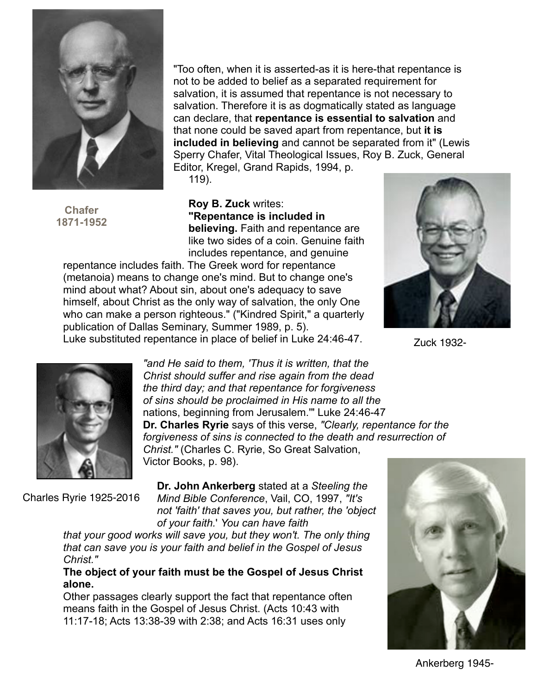

**Chafer 1871-1952**

"Too often, when it is asserted-as it is here-that repentance is not to be added to belief as a separated requirement for salvation, it is assumed that repentance is not necessary to salvation. Therefore it is as dogmatically stated as language can declare, that **repentance is essential to salvation** and that none could be saved apart from repentance, but **it is included in believing** and cannot be separated from it" (Lewis Sperry Chafer, Vital Theological Issues, Roy B. Zuck, General Editor, Kregel, Grand Rapids, 1994, p.

119).

**Roy B. Zuck** writes: **"Repentance is included in believing.** Faith and repentance are like two sides of a coin. Genuine faith includes repentance, and genuine

repentance includes faith. The Greek word for repentance (metanoia) means to change one's mind. But to change one's mind about what? About sin, about one's adequacy to save himself, about Christ as the only way of salvation, the only One who can make a person righteous." ("Kindred Spirit," a quarterly publication of Dallas Seminary, Summer 1989, p. 5). Luke substituted repentance in place of belief in Luke 24:46-47.



Zuck 1932-



*"and He said to them, 'Thus it is written, that the Christ should suffer and rise again from the dead the third day; and that repentance for forgiveness of sins should be proclaimed in His name to all the* nations, beginning from Jerusalem.'" Luke 24:46-47 **Dr. Charles Ryrie** says of this verse, *"Clearly, repentance for the forgiveness of sins is connected to the death and resurrection of Christ."* (Charles C. Ryrie, So Great Salvation, Victor Books, p. 98).

Charles Ryrie 1925-2016

**Dr. John Ankerberg** stated at a *Steeling the Mind Bible Conference*, Vail, CO, 1997, *"It's not 'faith' that saves you, but rather, the 'object of your faith.*' *You can have faith*

*that your good works will save you, but they won't. The only thing that can save you is your faith and belief in the Gospel of Jesus Christ."*

**The object of your faith must be the Gospel of Jesus Christ alone.**

Other passages clearly support the fact that repentance often means faith in the Gospel of Jesus Christ. (Acts 10:43 with 11:17-18; Acts 13:38-39 with 2:38; and Acts 16:31 uses only



Ankerberg 1945-